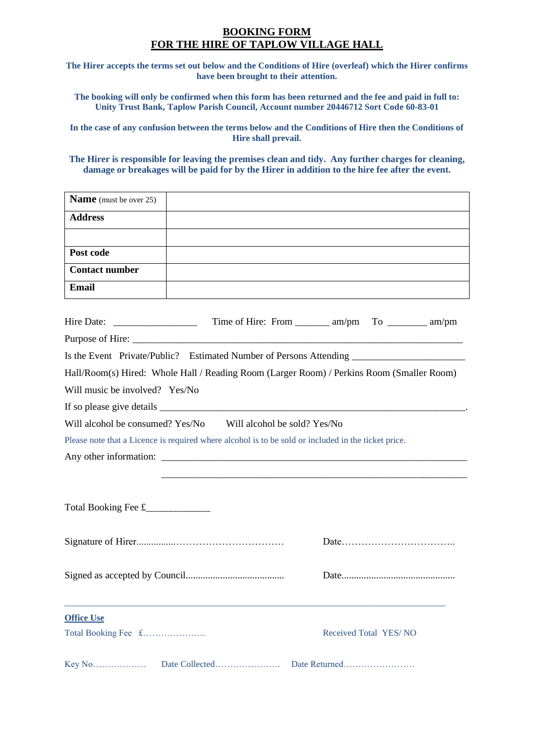## **BOOKING FORM FOR THE HIRE OF TAPLOW VILLAGE HALL**

**The Hirer accepts the terms set out below and the Conditions of Hire (overleaf) which the Hirer confirms have been brought to their attention.**

**The booking will only be confirmed when this form has been returned and the fee and paid in full to: Unity Trust Bank, Taplow Parish Council, Account number 20446712 Sort Code 60-83-01**

**In the case of any confusion between the terms below and the Conditions of Hire then the Conditions of Hire shall prevail.**

**The Hirer is responsible for leaving the premises clean and tidy. Any further charges for cleaning, damage or breakages will be paid for by the Hirer in addition to the hire fee after the event.**

| Name (must be over 25)                                                                    |                                                                                                     |                       |
|-------------------------------------------------------------------------------------------|-----------------------------------------------------------------------------------------------------|-----------------------|
| <b>Address</b>                                                                            |                                                                                                     |                       |
|                                                                                           |                                                                                                     |                       |
| Post code                                                                                 |                                                                                                     |                       |
| <b>Contact number</b>                                                                     |                                                                                                     |                       |
| <b>Email</b>                                                                              |                                                                                                     |                       |
|                                                                                           |                                                                                                     |                       |
|                                                                                           |                                                                                                     |                       |
|                                                                                           |                                                                                                     |                       |
| Is the Event Private/Public? Estimated Number of Persons Attending ______________         |                                                                                                     |                       |
| Hall/Room(s) Hired: Whole Hall / Reading Room (Larger Room) / Perkins Room (Smaller Room) |                                                                                                     |                       |
| Will music be involved? Yes/No                                                            |                                                                                                     |                       |
|                                                                                           |                                                                                                     |                       |
|                                                                                           | Will alcohol be consumed? Yes/No Will alcohol be sold? Yes/No                                       |                       |
|                                                                                           | Please note that a Licence is required where alcohol is to be sold or included in the ticket price. |                       |
|                                                                                           |                                                                                                     |                       |
|                                                                                           |                                                                                                     |                       |
|                                                                                           |                                                                                                     |                       |
| Total Booking Fee £______________                                                         |                                                                                                     |                       |
|                                                                                           |                                                                                                     |                       |
|                                                                                           |                                                                                                     |                       |
|                                                                                           |                                                                                                     |                       |
| <b>Office Use</b>                                                                         |                                                                                                     |                       |
| Total Booking Fee £                                                                       |                                                                                                     | Received Total YES/NO |
|                                                                                           |                                                                                                     | Date Returned         |